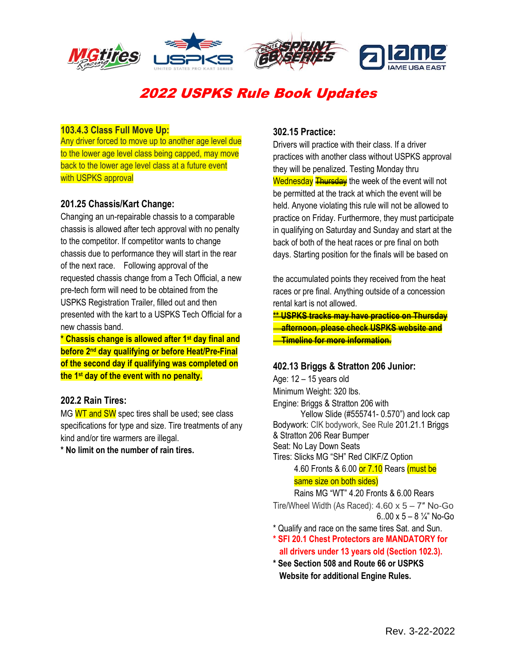

# 2022 USPKS Rule Book Updates

### **103.4.3 Class Full Move Up:**

Any driver forced to move up to another age level due to the lower age level class being capped, may move back to the lower age level class at a future event with USPKS approval

#### **201.25 Chassis/Kart Change:**

Changing an un-repairable chassis to a comparable chassis is allowed after tech approval with no penalty to the competitor. If competitor wants to change chassis due to performance they will start in the rear of the next race. Following approval of the requested chassis change from a Tech Official, a new pre-tech form will need to be obtained from the USPKS Registration Trailer, filled out and then presented with the kart to a USPKS Tech Official for a new chassis band.

**\* Chassis change is allowed after 1st day final and before 2nd day qualifying or before Heat/Pre-Final of the second day if qualifying was completed on the 1st day of the event with no penalty.**

#### **202.2 Rain Tires:**

MG WT and SW spec tires shall be used; see class specifications for type and size. Tire treatments of any kind and/or tire warmers are illegal.

**\* No limit on the number of rain tires.**

## **302.15 Practice:**

Drivers will practice with their class. If a driver practices with another class without USPKS approval they will be penalized. Testing Monday thru Wednesday **Thursday** the week of the event will not be permitted at the track at which the event will be held. Anyone violating this rule will not be allowed to practice on Friday. Furthermore, they must participate in qualifying on Saturday and Sunday and start at the back of both of the heat races or pre final on both days. Starting position for the finals will be based on

the accumulated points they received from the heat races or pre final. Anything outside of a concession rental kart is not allowed.

**\*\* USPKS tracks may have practice on Thursday afternoon, please check USPKS website and Timeline for more information.**

#### **402.13 Briggs & Stratton 206 Junior:**

Age: 12 – 15 years old Minimum Weight: 320 lbs. Engine: Briggs & Stratton 206 with Yellow Slide (#555741- 0.570") and lock cap Bodywork: CIK bodywork, See Rule 201.21.1 Briggs & Stratton 206 Rear Bumper Seat: No Lay Down Seats Tires: Slicks MG "SH" Red CIKF/Z Option 4.60 Fronts & 6.00 or 7.10 Rears (must be same size on both sides) Rains MG "WT" 4.20 Fronts & 6.00 Rears

Tire/Wheel Width (As Raced):  $4.60 \times 5 - 7$ " No-Go 6..00 x 5 – 8  $\frac{1}{4}$ " No-Go

\* Qualify and race on the same tires Sat. and Sun.

- **\* SFI 20.1 Chest Protectors are MANDATORY for all drivers under 13 years old (Section 102.3).**
- **\* See Section 508 and Route 66 or USPKS Website for additional Engine Rules.**